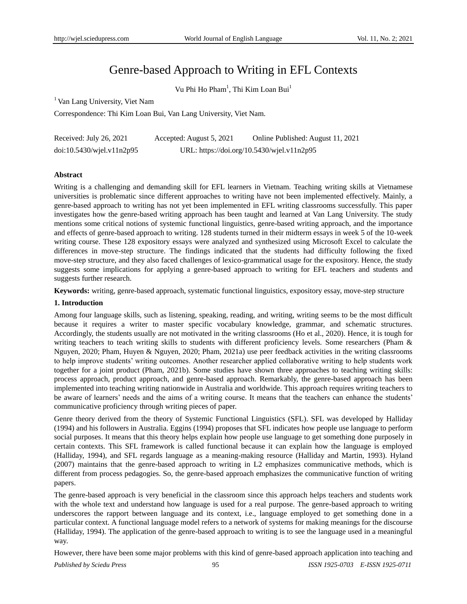# Genre-based Approach to Writing in EFL Contexts

Vu Phi Ho Pham<sup>1</sup>, Thi Kim Loan Bui<sup>1</sup>

<sup>1</sup> Van Lang University, Viet Nam

Correspondence: Thi Kim Loan Bui, Van Lang University, Viet Nam.

| Received: July 26, 2021         | Accepted: August 5, 2021 | Online Published: August 11, 2021          |
|---------------------------------|--------------------------|--------------------------------------------|
| $doi:10.5430/w$ jel.v $11n2p95$ |                          | URL: https://doi.org/10.5430/wjel.v11n2p95 |

# **Abstract**

Writing is a challenging and demanding skill for EFL learners in Vietnam. Teaching writing skills at Vietnamese universities is problematic since different approaches to writing have not been implemented effectively. Mainly, a genre-based approach to writing has not yet been implemented in EFL writing classrooms successfully. This paper investigates how the genre-based writing approach has been taught and learned at Van Lang University. The study mentions some critical notions of systemic functional linguistics, genre-based writing approach, and the importance and effects of genre-based approach to writing. 128 students turned in their midterm essays in week 5 of the 10-week writing course. These 128 expository essays were analyzed and synthesized using Microsoft Excel to calculate the differences in move-step structure. The findings indicated that the students had difficulty following the fixed move-step structure, and they also faced challenges of lexico-grammatical usage for the expository. Hence, the study suggests some implications for applying a genre-based approach to writing for EFL teachers and students and suggests further research.

**Keywords:** writing, genre-based approach, systematic functional linguistics, expository essay, move-step structure

## **1. Introduction**

Among four language skills, such as listening, speaking, reading, and writing, writing seems to be the most difficult because it requires a writer to master specific vocabulary knowledge, grammar, and schematic structures. Accordingly, the students usually are not motivated in the writing classrooms (Ho et al., 2020). Hence, it is tough for writing teachers to teach writing skills to students with different proficiency levels. Some researchers (Pham & Nguyen, 2020; Pham, Huyen & Nguyen, 2020; Pham, 2021a) use peer feedback activities in the writing classrooms to help improve students" writing outcomes. Another researcher applied collaborative writing to help students work together for a joint product (Pham, 2021b). Some studies have shown three approaches to teaching writing skills: process approach, product approach, and genre-based approach. Remarkably, the genre-based approach has been implemented into teaching writing nationwide in Australia and worldwide. This approach requires writing teachers to be aware of learners' needs and the aims of a writing course. It means that the teachers can enhance the students' communicative proficiency through writing pieces of paper.

Genre theory derived from the theory of Systemic Functional Linguistics (SFL). SFL was developed by Halliday (1994) and his followers in Australia. Eggins (1994) proposes that SFL indicates how people use language to perform social purposes. It means that this theory helps explain how people use language to get something done purposely in certain contexts. This SFL framework is called functional because it can explain how the language is employed (Halliday, 1994), and SFL regards language as a meaning-making resource (Halliday and Martin, 1993). Hyland (2007) maintains that the genre-based approach to writing in L2 emphasizes communicative methods, which is different from process pedagogies. So, the genre-based approach emphasizes the communicative function of writing papers.

The genre-based approach is very beneficial in the classroom since this approach helps teachers and students work with the whole text and understand how language is used for a real purpose. The genre-based approach to writing underscores the rapport between language and its context, i.e., language employed to get something done in a particular context. A functional language model refers to a network of systems for making meanings for the discourse (Halliday, 1994). The application of the genre-based approach to writing is to see the language used in a meaningful way.

However, there have been some major problems with this kind of genre-based approach application into teaching and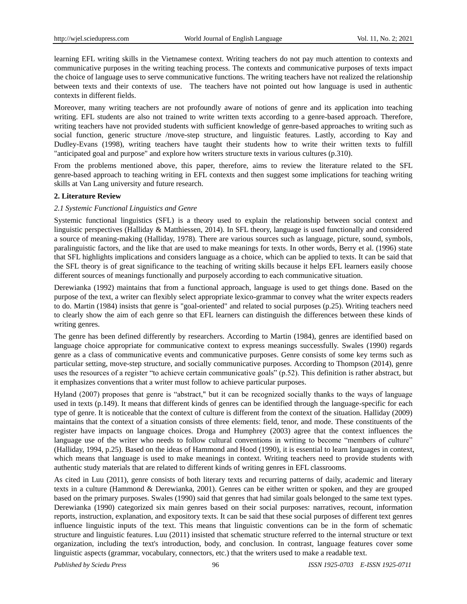learning EFL writing skills in the Vietnamese context. Writing teachers do not pay much attention to contexts and communicative purposes in the writing teaching process. The contexts and communicative purposes of texts impact the choice of language uses to serve communicative functions. The writing teachers have not realized the relationship between texts and their contexts of use. The teachers have not pointed out how language is used in authentic contexts in different fields.

Moreover, many writing teachers are not profoundly aware of notions of genre and its application into teaching writing. EFL students are also not trained to write written texts according to a genre-based approach. Therefore, writing teachers have not provided students with sufficient knowledge of genre-based approaches to writing such as social function, generic structure /move-step structure, and linguistic features. Lastly, according to Kay and Dudley-Evans (1998), writing teachers have taught their students how to write their written texts to fulfill "anticipated goal and purpose" and explore how writers structure texts in various cultures (p.310).

From the problems mentioned above, this paper, therefore, aims to review the literature related to the SFL genre-based approach to teaching writing in EFL contexts and then suggest some implications for teaching writing skills at Van Lang university and future research.

# **2. Literature Review**

# *2.1 Systemic Functional Linguistics and Genre*

Systemic functional linguistics (SFL) is a theory used to explain the relationship between social context and linguistic perspectives (Halliday & Matthiessen, 2014). In SFL theory, language is used functionally and considered a source of meaning-making (Halliday, 1978). There are various sources such as language, picture, sound, symbols, paralinguistic factors, and the like that are used to make meanings for texts. In other words, Berry et al. (1996) state that SFL highlights implications and considers language as a choice, which can be applied to texts. It can be said that the SFL theory is of great significance to the teaching of writing skills because it helps EFL learners easily choose different sources of meanings functionally and purposely according to each communicative situation.

Derewianka (1992) maintains that from a functional approach, language is used to get things done. Based on the purpose of the text, a writer can flexibly select appropriate lexico-grammar to convey what the writer expects readers to do. Martin (1984) insists that genre is "goal-oriented" and related to social purposes (p.25). Writing teachers need to clearly show the aim of each genre so that EFL learners can distinguish the differences between these kinds of writing genres.

The genre has been defined differently by researchers. According to Martin (1984), genres are identified based on language choice appropriate for communicative context to express meanings successfully. Swales (1990) regards genre as a class of communicative events and communicative purposes. Genre consists of some key terms such as particular setting, move-step structure, and socially communicative purposes. According to Thompson (2014), genre uses the resources of a register "to achieve certain communicative goals" (p.52). This definition is rather abstract, but it emphasizes conventions that a writer must follow to achieve particular purposes.

Hyland (2007) proposes that genre is "abstract," but it can be recognized socially thanks to the ways of language used in texts (p.149). It means that different kinds of genres can be identified through the language-specific for each type of genre. It is noticeable that the context of culture is different from the context of the situation. Halliday (2009) maintains that the context of a situation consists of three elements: field, tenor, and mode. These constituents of the register have impacts on language choices. Droga and Humphrey (2003) agree that the context influences the language use of the writer who needs to follow cultural conventions in writing to become "members of culture" (Halliday, 1994, p.25). Based on the ideas of Hammond and Hood (1990), it is essential to learn languages in context, which means that language is used to make meanings in context. Writing teachers need to provide students with authentic study materials that are related to different kinds of writing genres in EFL classrooms.

As cited in Luu (2011), genre consists of both literary texts and recurring patterns of daily, academic and literary texts in a culture (Hammond & Derewianka, 2001). Genres can be either written or spoken, and they are grouped based on the primary purposes. Swales (1990) said that genres that had similar goals belonged to the same text types. Derewianka (1990) categorized six main genres based on their social purposes: narratives, recount, information reports, instruction, explanation, and expository texts. It can be said that these social purposes of different text genres influence linguistic inputs of the text. This means that linguistic conventions can be in the form of schematic structure and linguistic features. Luu (2011) insisted that schematic structure referred to the internal structure or text organization, including the text's introduction, body, and conclusion. In contrast, language features cover some linguistic aspects (grammar, vocabulary, connectors, etc.) that the writers used to make a readable text.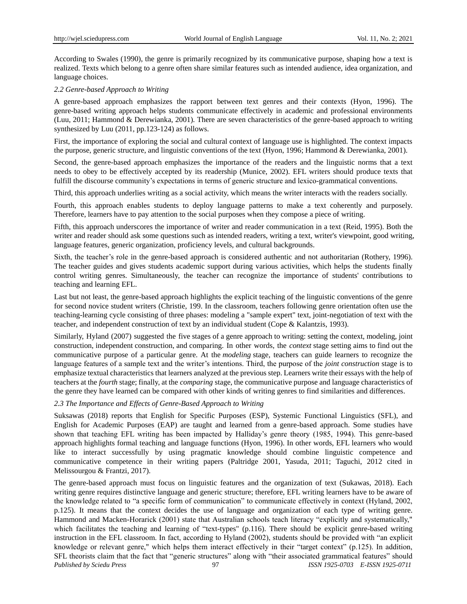According to Swales (1990), the genre is primarily recognized by its communicative purpose, shaping how a text is realized. Texts which belong to a genre often share similar features such as intended audience, idea organization, and language choices.

#### *2.2 Genre-based Approach to Writing*

A genre-based approach emphasizes the rapport between text genres and their contexts (Hyon, 1996). The genre-based writing approach helps students communicate effectively in academic and professional environments (Luu, 2011; Hammond & Derewianka, 2001). There are seven characteristics of the genre-based approach to writing synthesized by Luu (2011, pp.123-124) as follows.

First, the importance of exploring the social and cultural context of language use is highlighted. The context impacts the purpose, generic structure, and linguistic conventions of the text (Hyon, 1996; Hammond & Derewianka, 2001).

Second, the genre-based approach emphasizes the importance of the readers and the linguistic norms that a text needs to obey to be effectively accepted by its readership (Munice, 2002). EFL writers should produce texts that fulfill the discourse community's expectations in terms of generic structure and lexico-grammatical conventions.

Third, this approach underlies writing as a social activity, which means the writer interacts with the readers socially.

Fourth, this approach enables students to deploy language patterns to make a text coherently and purposely. Therefore, learners have to pay attention to the social purposes when they compose a piece of writing.

Fifth, this approach underscores the importance of writer and reader communication in a text (Reid, 1995). Both the writer and reader should ask some questions such as intended readers, writing a text, writer's viewpoint, good writing, language features, generic organization, proficiency levels, and cultural backgrounds.

Sixth, the teacher's role in the genre-based approach is considered authentic and not authoritarian (Rothery, 1996). The teacher guides and gives students academic support during various activities, which helps the students finally control writing genres. Simultaneously, the teacher can recognize the importance of students' contributions to teaching and learning EFL.

Last but not least, the genre-based approach highlights the explicit teaching of the linguistic conventions of the genre for second novice student writers (Christie, 199. In the classroom, teachers following genre orientation often use the teaching-learning cycle consisting of three phases: modeling a "sample expert" text, joint-negotiation of text with the teacher, and independent construction of text by an individual student (Cope & Kalantzis, 1993).

Similarly, Hyland (2007) suggested the five stages of a genre approach to writing: setting the context, modeling, joint construction, independent construction, and comparing. In other words, the *context* stage setting aims to find out the communicative purpose of a particular genre. At the *modeling* stage, teachers can guide learners to recognize the language features of a sample text and the writer"s intentions. Third, the purpose of the *joint construction* stage is to emphasize textual characteristics that learners analyzed at the previous step. Learners write their essays with the help of teachers at the *fourth* stage; finally, at the *comparing* stage, the communicative purpose and language characteristics of the genre they have learned can be compared with other kinds of writing genres to find similarities and differences.

## *2.3 The Importance and Effects of Genre-Based Approach to Writing*

Suksawas (2018) reports that English for Specific Purposes (ESP), Systemic Functional Linguistics (SFL), and English for Academic Purposes (EAP) are taught and learned from a genre-based approach. Some studies have shown that teaching EFL writing has been impacted by Halliday"s genre theory (1985, 1994). This genre-based approach highlights formal teaching and language functions (Hyon, 1996). In other words, EFL learners who would like to interact successfully by using pragmatic knowledge should combine linguistic competence and communicative competence in their writing papers (Paltridge 2001, Yasuda, 2011; Taguchi, 2012 cited in Melissourgou & Frantzi, 2017).

*Published by Sciedu Press* 97 *ISSN 1925-0703 E-ISSN 1925-0711* The genre-based approach must focus on linguistic features and the organization of text (Sukawas, 2018). Each writing genre requires distinctive language and generic structure; therefore, EFL writing learners have to be aware of the knowledge related to "a specific form of communication" to communicate effectively in context (Hyland, 2002, p.125). It means that the context decides the use of language and organization of each type of writing genre. Hammond and Macken-Horarick (2001) state that Australian schools teach literacy "explicitly and systematically," which facilitates the teaching and learning of "text-types" (p.116). There should be explicit genre-based writing instruction in the EFL classroom. In fact, according to Hyland (2002), students should be provided with "an explicit knowledge or relevant genre," which helps them interact effectively in their "target context" (p.125). In addition, SFL theorists claim that the fact that "generic structures" along with "their associated grammatical features" should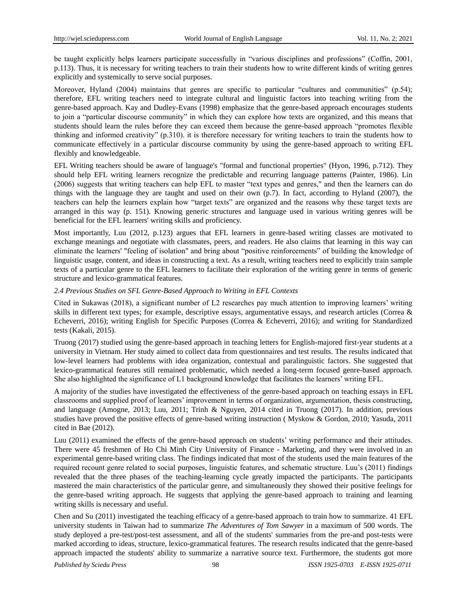be taught explicitly helps learners participate successfully in "various disciplines and professions" (Coffin, 2001, p.113). Thus, it is necessary for writing teachers to train their students how to write different kinds of writing genres explicitly and systemically to serve social purposes.

Moreover, Hyland (2004) maintains that genres are specific to particular "cultures and communities" (p.54); therefore, EFL writing teachers need to integrate cultural and linguistic factors into teaching writing from the genre-based approach. Kay and Dudley-Evans (1998) emphasize that the genre-based approach encourages students to join a "particular discourse community" in which they can explore how texts are organized, and this means that students should learn the rules before they can exceed them because the genre-based approach "promotes flexible thinking and informed creativity" (p.310). it is therefore necessary for writing teachers to train the students how to communicate effectively in a particular discourse community by using the genre-based approach to writing EFL flexibly and knowledgeable.

EFL Writing teachers should be aware of language's "formal and functional properties" (Hyon, 1996, p.712). They should help EFL writing learners recognize the predictable and recurring language patterns (Painter, 1986). Lin (2006) suggests that writing teachers can help EFL to master "text types and genres," and then the learners can do things with the language they are taught and used on their own (p.7). In fact, according to Hyland (2007), the teachers can help the learners explain how "target texts" are organized and the reasons why these target texts are arranged in this way (p. 151). Knowing generic structures and language used in various writing genres will be beneficial for the EFL learners' writing skills and proficiency.

Most importantly, Luu (2012, p.123) argues that EFL learners in genre-based writing classes are motivated to exchange meanings and negotiate with classmates, peers, and readers. He also claims that learning in this way can eliminate the learners' "feeling of isolation" and bring about "positive reinforcements" of building the knowledge of linguistic usage, content, and ideas in constructing a text. As a result, writing teachers need to explicitly train sample texts of a particular genre to the EFL learners to facilitate their exploration of the writing genre in terms of generic structure and lexico-grammatical features.

# *2.4 Previous Studies on SFL Genre-Based Approach to Writing in EFL Contexts*

Cited in Sukawas (2018), a significant number of L2 researches pay much attention to improving learners" writing skills in different text types; for example, descriptive essays, argumentative essays, and research articles (Correa & Echeverri, 2016); writing English for Specific Purposes (Correa & Echeverri, 2016); and writing for Standardized tests (Kakali, 2015).

Truong (2017) studied using the genre-based approach in teaching letters for English-majored first-year students at a university in Vietnam. Her study aimed to collect data from questionnaires and test results. The results indicated that low-level learners had problems with idea organization, contextual and paralinguistic factors. She suggested that lexico-grammatical features still remained problematic, which needed a long-term focused genre-based approach. She also highlighted the significance of L1 background knowledge that facilitates the learners" writing EFL.

A majority of the studies have investigated the effectiveness of the genre-based approach on teaching essays in EFL classrooms and supplied proof of learners" improvement in terms of organization, argumentation, thesis constructing, and language (Amogne, 2013; Luu, 2011; Trinh & Nguyen, 2014 cited in Truong (2017). In addition, previous studies have proved the positive effects of genre-based writing instruction ( Myskow & Gordon, 2010; Yasuda, 2011 cited in Bae (2012).

Luu (2011) examined the effects of the genre-based approach on students' writing performance and their attitudes. There were 45 freshmen of Ho Chi Minh City University of Finance - Marketing, and they were involved in an experimental genre-based writing class. The findings indicated that most of the students used the main features of the required recount genre related to social purposes, linguistic features, and schematic structure. Luu"s (2011) findings revealed that the three phases of the teaching-learning cycle greatly impacted the participants. The participants mastered the main characteristics of the particular genre, and simultaneously they showed their positive feelings for the genre-based writing approach. He suggests that applying the genre-based approach to training and learning writing skills is necessary and useful.

Chen and Su (2011) investigated the teaching efficacy of a genre-based approach to train how to summarize. 41 EFL university students in Taiwan had to summarize *The Adventures of Tom Sawyer* in a maximum of 500 words. The study deployed a pre-test/post-test assessment, and all of the students' summaries from the pre-and post-tests were marked according to ideas, structure, lexico-grammatical features. The research results indicated that the genre-based approach impacted the students' ability to summarize a narrative source text. Furthermore, the students got more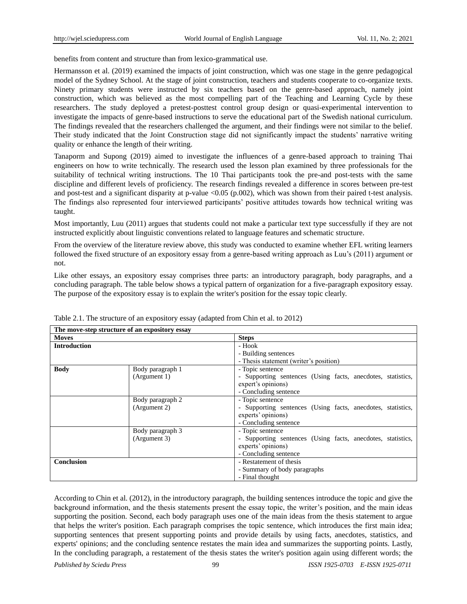benefits from content and structure than from lexico-grammatical use.

Hermansson et al. (2019) examined the impacts of joint construction, which was one stage in the genre pedagogical model of the Sydney School. At the stage of joint construction, teachers and students cooperate to co-organize texts. Ninety primary students were instructed by six teachers based on the genre-based approach, namely joint construction, which was believed as the most compelling part of the Teaching and Learning Cycle by these researchers. The study deployed a pretest-posttest control group design or quasi-experimental intervention to investigate the impacts of genre-based instructions to serve the educational part of the Swedish national curriculum. The findings revealed that the researchers challenged the argument, and their findings were not similar to the belief. Their study indicated that the Joint Construction stage did not significantly impact the students" narrative writing quality or enhance the length of their writing.

Tanaporm and Supong (2019) aimed to investigate the influences of a genre-based approach to training Thai engineers on how to write technically. The research used the lesson plan examined by three professionals for the suitability of technical writing instructions. The 10 Thai participants took the pre-and post-tests with the same discipline and different levels of proficiency. The research findings revealed a difference in scores between pre-test and post-test and a significant disparity at p-value  $\langle 0.05 \ (p.002)$ , which was shown from their paired t-test analysis. The findings also represented four interviewed participants" positive attitudes towards how technical writing was taught.

Most importantly, Luu (2011) argues that students could not make a particular text type successfully if they are not instructed explicitly about linguistic conventions related to language features and schematic structure.

From the overview of the literature review above, this study was conducted to examine whether EFL writing learners followed the fixed structure of an expository essay from a genre-based writing approach as Luu"s (2011) argument or not.

Like other essays, an expository essay comprises three parts: an introductory paragraph, body paragraphs, and a concluding paragraph. The table below shows a typical pattern of organization for a five-paragraph expository essay. The purpose of the expository essay is to explain the writer's position for the essay topic clearly.

| The move-step structure of an expository essay |                  |                                                             |
|------------------------------------------------|------------------|-------------------------------------------------------------|
| <b>Moves</b>                                   |                  | <b>Steps</b>                                                |
| <b>Introduction</b>                            |                  | - Hook                                                      |
|                                                |                  | - Building sentences                                        |
|                                                |                  | - Thesis statement (writer's position)                      |
| <b>Body</b>                                    | Body paragraph 1 | - Topic sentence                                            |
|                                                | (Argument 1)     | Supporting sentences (Using facts, anecdotes, statistics,   |
|                                                |                  | expert's opinions)                                          |
|                                                |                  | - Concluding sentence                                       |
|                                                | Body paragraph 2 | - Topic sentence                                            |
|                                                | (Argument 2)     | - Supporting sentences (Using facts, anecdotes, statistics, |
|                                                |                  | experts' opinions)                                          |
|                                                |                  | - Concluding sentence                                       |
|                                                | Body paragraph 3 | - Topic sentence                                            |
|                                                | (Argument 3)     | Supporting sentences (Using facts, anecdotes, statistics,   |
|                                                |                  | experts' opinions)                                          |
|                                                |                  | - Concluding sentence                                       |
| <b>Conclusion</b>                              |                  | - Restatement of thesis                                     |
|                                                |                  | - Summary of body paragraphs                                |
|                                                |                  | - Final thought                                             |

Table 2.1. The structure of an expository essay (adapted from Chin et al. to 2012)

According to Chin et al. (2012), in the introductory paragraph, the building sentences introduce the topic and give the background information, and the thesis statements present the essay topic, the writer"s position, and the main ideas supporting the position. Second, each body paragraph uses one of the main ideas from the thesis statement to argue that helps the writer's position. Each paragraph comprises the topic sentence, which introduces the first main idea; supporting sentences that present supporting points and provide details by using facts, anecdotes, statistics, and experts' opinions; and the concluding sentence restates the main idea and summarizes the supporting points. Lastly, In the concluding paragraph, a restatement of the thesis states the writer's position again using different words; the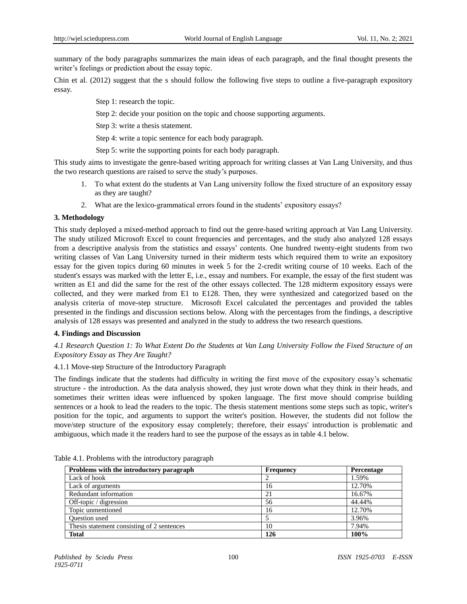summary of the body paragraphs summarizes the main ideas of each paragraph, and the final thought presents the writer's feelings or prediction about the essay topic.

Chin et al. (2012) suggest that the s should follow the following five steps to outline a five-paragraph expository essay.

- Step 1: research the topic.
- Step 2: decide your position on the topic and choose supporting arguments.
- Step 3: write a thesis statement.
- Step 4: write a topic sentence for each body paragraph.
- Step 5: write the supporting points for each body paragraph.

This study aims to investigate the genre-based writing approach for writing classes at Van Lang University, and thus the two research questions are raised to serve the study"s purposes.

- 1. To what extent do the students at Van Lang university follow the fixed structure of an expository essay as they are taught?
- 2. What are the lexico-grammatical errors found in the students" expository essays?

# **3. Methodology**

This study deployed a mixed-method approach to find out the genre-based writing approach at Van Lang University. The study utilized Microsoft Excel to count frequencies and percentages, and the study also analyzed 128 essays from a descriptive analysis from the statistics and essays" contents. One hundred twenty-eight students from two writing classes of Van Lang University turned in their midterm tests which required them to write an expository essay for the given topics during 60 minutes in week 5 for the 2-credit writing course of 10 weeks. Each of the student's essays was marked with the letter E, i.e., essay and numbers. For example, the essay of the first student was written as E1 and did the same for the rest of the other essays collected. The 128 midterm expository essays were collected, and they were marked from E1 to E128. Then, they were synthesized and categorized based on the analysis criteria of move-step structure. Microsoft Excel calculated the percentages and provided the tables presented in the findings and discussion sections below. Along with the percentages from the findings, a descriptive analysis of 128 essays was presented and analyzed in the study to address the two research questions.

## **4. Findings and Discussion**

*4.1 Research Question 1: To What Extent Do the Students at Van Lang University Follow the Fixed Structure of an Expository Essay as They Are Taught?*

## 4.1.1 Move-step Structure of the Introductory Paragraph

The findings indicate that the students had difficulty in writing the first move of the expository essay's schematic structure - the introduction. As the data analysis showed, they just wrote down what they think in their heads, and sometimes their written ideas were influenced by spoken language. The first move should comprise building sentences or a hook to lead the readers to the topic. The thesis statement mentions some steps such as topic, writer's position for the topic, and arguments to support the writer's position. However, the students did not follow the move/step structure of the expository essay completely; therefore, their essays' introduction is problematic and ambiguous, which made it the readers hard to see the purpose of the essays as in table 4.1 below.

| Problems with the introductory paragraph   | Frequency | Percentage |
|--------------------------------------------|-----------|------------|
| Lack of hook                               |           | 1.59%      |
| Lack of arguments                          | 16        | 12.70%     |
| Redundant information                      | 21        | 16.67%     |
| Off-topic / digression                     | 56        | 44.44%     |
| Topic unmentioned                          | 16        | 12.70%     |
| <b>Ouestion</b> used                       |           | 3.96%      |
| Thesis statement consisting of 2 sentences | 10        | 7.94%      |
| <b>Total</b>                               | 126       | 100%       |

Table 4.1. Problems with the introductory paragraph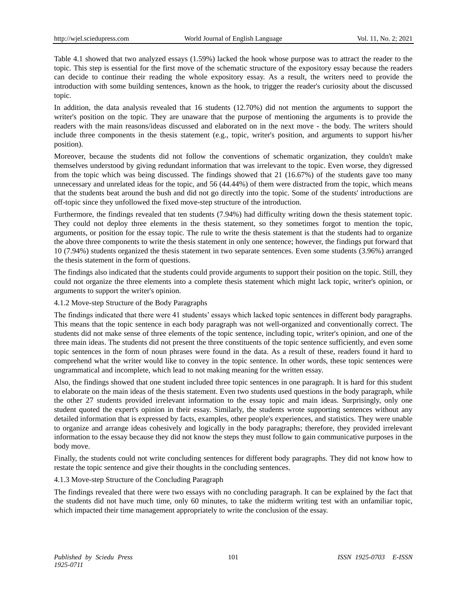Table 4.1 showed that two analyzed essays (1.59%) lacked the hook whose purpose was to attract the reader to the topic. This step is essential for the first move of the schematic structure of the expository essay because the readers can decide to continue their reading the whole expository essay. As a result, the writers need to provide the introduction with some building sentences, known as the hook, to trigger the reader's curiosity about the discussed topic.

In addition, the data analysis revealed that 16 students (12.70%) did not mention the arguments to support the writer's position on the topic. They are unaware that the purpose of mentioning the arguments is to provide the readers with the main reasons/ideas discussed and elaborated on in the next move - the body. The writers should include three components in the thesis statement (e.g., topic, writer's position, and arguments to support his/her position).

Moreover, because the students did not follow the conventions of schematic organization, they couldn't make themselves understood by giving redundant information that was irrelevant to the topic. Even worse, they digressed from the topic which was being discussed. The findings showed that 21 (16.67%) of the students gave too many unnecessary and unrelated ideas for the topic, and 56 (44.44%) of them were distracted from the topic, which means that the students beat around the bush and did not go directly into the topic. Some of the students' introductions are off-topic since they unfollowed the fixed move-step structure of the introduction.

Furthermore, the findings revealed that ten students (7.94%) had difficulty writing down the thesis statement topic. They could not deploy three elements in the thesis statement, so they sometimes forgot to mention the topic, arguments, or position for the essay topic. The rule to write the thesis statement is that the students had to organize the above three components to write the thesis statement in only one sentence; however, the findings put forward that 10 (7.94%) students organized the thesis statement in two separate sentences. Even some students (3.96%) arranged the thesis statement in the form of questions.

The findings also indicated that the students could provide arguments to support their position on the topic. Still, they could not organize the three elements into a complete thesis statement which might lack topic, writer's opinion, or arguments to support the writer's opinion.

# 4.1.2 Move-step Structure of the Body Paragraphs

The findings indicated that there were 41 students" essays which lacked topic sentences in different body paragraphs. This means that the topic sentence in each body paragraph was not well-organized and conventionally correct. The students did not make sense of three elements of the topic sentence, including topic, writer's opinion, and one of the three main ideas. The students did not present the three constituents of the topic sentence sufficiently, and even some topic sentences in the form of noun phrases were found in the data. As a result of these, readers found it hard to comprehend what the writer would like to convey in the topic sentence. In other words, these topic sentences were ungrammatical and incomplete, which lead to not making meaning for the written essay.

Also, the findings showed that one student included three topic sentences in one paragraph. It is hard for this student to elaborate on the main ideas of the thesis statement. Even two students used questions in the body paragraph, while the other 27 students provided irrelevant information to the essay topic and main ideas. Surprisingly, only one student quoted the expert's opinion in their essay. Similarly, the students wrote supporting sentences without any detailed information that is expressed by facts, examples, other people's experiences, and statistics. They were unable to organize and arrange ideas cohesively and logically in the body paragraphs; therefore, they provided irrelevant information to the essay because they did not know the steps they must follow to gain communicative purposes in the body move.

Finally, the students could not write concluding sentences for different body paragraphs. They did not know how to restate the topic sentence and give their thoughts in the concluding sentences.

## 4.1.3 Move-step Structure of the Concluding Paragraph

The findings revealed that there were two essays with no concluding paragraph. It can be explained by the fact that the students did not have much time, only 60 minutes, to take the midterm writing test with an unfamiliar topic, which impacted their time management appropriately to write the conclusion of the essay.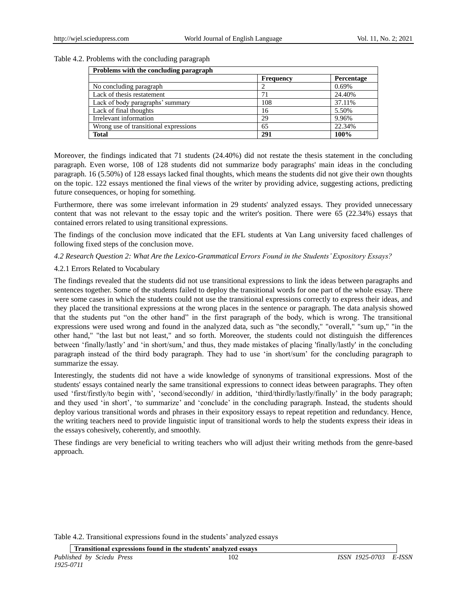# Table 4.2. Problems with the concluding paragraph

| Problems with the concluding paragraph |                  |            |
|----------------------------------------|------------------|------------|
|                                        | <b>Frequency</b> | Percentage |
| No concluding paragraph                |                  | 0.69%      |
| Lack of thesis restatement             |                  | 24.40%     |
| Lack of body paragraphs' summary       | 108              | 37.11%     |
| Lack of final thoughts                 | 16               | 5.50%      |
| Irrelevant information                 | 29               | 9.96%      |
| Wrong use of transitional expressions  | 65               | 22.34%     |
| <b>Total</b>                           | 291              | 100%       |

Moreover, the findings indicated that 71 students (24.40%) did not restate the thesis statement in the concluding paragraph. Even worse, 108 of 128 students did not summarize body paragraphs' main ideas in the concluding paragraph. 16 (5.50%) of 128 essays lacked final thoughts, which means the students did not give their own thoughts on the topic. 122 essays mentioned the final views of the writer by providing advice, suggesting actions, predicting future consequences, or hoping for something.

Furthermore, there was some irrelevant information in 29 students' analyzed essays. They provided unnecessary content that was not relevant to the essay topic and the writer's position. There were 65 (22.34%) essays that contained errors related to using transitional expressions.

The findings of the conclusion move indicated that the EFL students at Van Lang university faced challenges of following fixed steps of the conclusion move.

# *4.2 Research Question 2: What Are the Lexico-Grammatical Errors Found in the Students' Expository Essays?*

# 4.2.1 Errors Related to Vocabulary

The findings revealed that the students did not use transitional expressions to link the ideas between paragraphs and sentences together. Some of the students failed to deploy the transitional words for one part of the whole essay. There were some cases in which the students could not use the transitional expressions correctly to express their ideas, and they placed the transitional expressions at the wrong places in the sentence or paragraph. The data analysis showed that the students put "on the other hand" in the first paragraph of the body, which is wrong. The transitional expressions were used wrong and found in the analyzed data, such as "the secondly," "overall," "sum up," "in the other hand," "the last but not least," and so forth. Moreover, the students could not distinguish the differences between "finally/lastly" and "in short/sum,' and thus, they made mistakes of placing 'finally/lastly' in the concluding paragraph instead of the third body paragraph. They had to use "in short/sum" for the concluding paragraph to summarize the essay.

Interestingly, the students did not have a wide knowledge of synonyms of transitional expressions. Most of the students' essays contained nearly the same transitional expressions to connect ideas between paragraphs. They often used "first/firstly/to begin with", "second/secondly/ in addition, "third/thirdly/lastly/finally" in the body paragraph; and they used "in short", "to summarize" and "conclude" in the concluding paragraph. Instead, the students should deploy various transitional words and phrases in their expository essays to repeat repetition and redundancy. Hence, the writing teachers need to provide linguistic input of transitional words to help the students express their ideas in the essays cohesively, coherently, and smoothly.

These findings are very beneficial to writing teachers who will adjust their writing methods from the genre-based approach.

Table 4.2. Transitional expressions found in the students' analyzed essays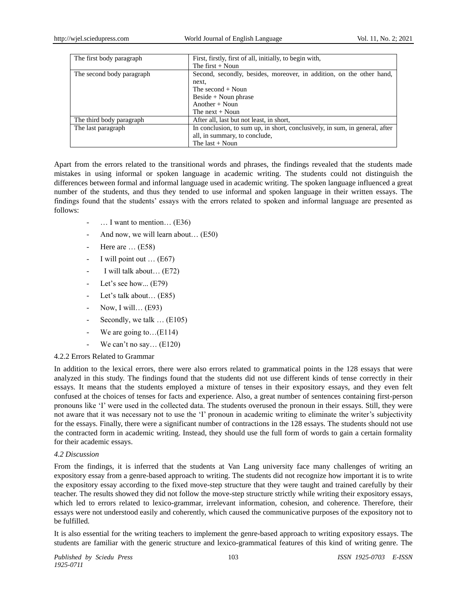| The first body paragraph  | First, firstly, first of all, initially, to begin with,<br>The first $+$ Noun |
|---------------------------|-------------------------------------------------------------------------------|
| The second body paragraph | Second, secondly, besides, moreover, in addition, on the other hand,<br>next, |
|                           | The second $+$ Noun                                                           |
|                           | $\text{Beside} + \text{Noun phrase}$                                          |
|                           | Another $+$ Noun                                                              |
|                           | The next $+$ Noun                                                             |
| The third body paragraph  | After all, last but not least, in short,                                      |
| The last paragraph        | In conclusion, to sum up, in short, conclusively, in sum, in general, after   |
|                           | all, in summary, to conclude,                                                 |
|                           | The last $+$ Noun                                                             |

Apart from the errors related to the transitional words and phrases, the findings revealed that the students made mistakes in using informal or spoken language in academic writing. The students could not distinguish the differences between formal and informal language used in academic writing. The spoken language influenced a great number of the students, and thus they tended to use informal and spoken language in their written essays. The findings found that the students" essays with the errors related to spoken and informal language are presented as follows:

- $\ldots$  I want to mention $\ldots$  (E36)
- And now, we will learn about... (E50)
- Here are  $\dots$  (E58)
- I will point out  $\dots$  (E67)
- I will talk about... (E72)
- Let's see how...  $(E79)$
- Let's talk about... (E85)
- Now, I will... (E93)
- Secondly, we talk ... (E105)
- We are going to... $(E114)$
- We can't no say...  $(E120)$

## 4.2.2 Errors Related to Grammar

In addition to the lexical errors, there were also errors related to grammatical points in the 128 essays that were analyzed in this study. The findings found that the students did not use different kinds of tense correctly in their essays. It means that the students employed a mixture of tenses in their expository essays, and they even felt confused at the choices of tenses for facts and experience. Also, a great number of sentences containing first-person pronouns like "I" were used in the collected data. The students overused the pronoun in their essays. Still, they were not aware that it was necessary not to use the 'I' pronoun in academic writing to eliminate the writer's subjectivity for the essays. Finally, there were a significant number of contractions in the 128 essays. The students should not use the contracted form in academic writing. Instead, they should use the full form of words to gain a certain formality for their academic essays.

# *4.2 Discussion*

From the findings, it is inferred that the students at Van Lang university face many challenges of writing an expository essay from a genre-based approach to writing. The students did not recognize how important it is to write the expository essay according to the fixed move-step structure that they were taught and trained carefully by their teacher. The results showed they did not follow the move-step structure strictly while writing their expository essays, which led to errors related to lexico-grammar, irrelevant information, cohesion, and coherence. Therefore, their essays were not understood easily and coherently, which caused the communicative purposes of the expository not to be fulfilled.

It is also essential for the writing teachers to implement the genre-based approach to writing expository essays. The students are familiar with the generic structure and lexico-grammatical features of this kind of writing genre. The

*Published by Sciedu Press* 103 *ISSN 1925-0703 E-ISSN 1925-0711*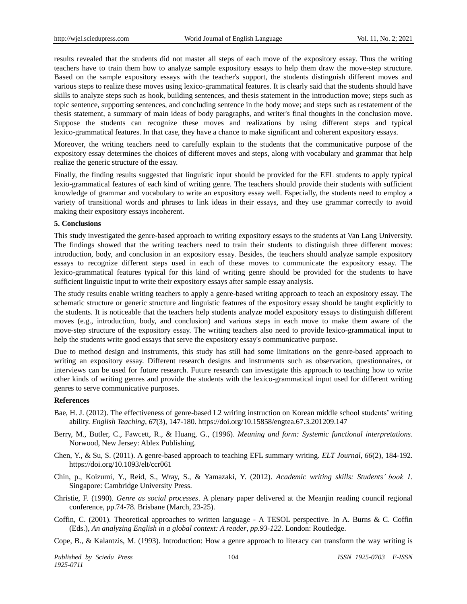results revealed that the students did not master all steps of each move of the expository essay. Thus the writing teachers have to train them how to analyze sample expository essays to help them draw the move-step structure. Based on the sample expository essays with the teacher's support, the students distinguish different moves and various steps to realize these moves using lexico-grammatical features. It is clearly said that the students should have skills to analyze steps such as hook, building sentences, and thesis statement in the introduction move; steps such as topic sentence, supporting sentences, and concluding sentence in the body move; and steps such as restatement of the thesis statement, a summary of main ideas of body paragraphs, and writer's final thoughts in the conclusion move. Suppose the students can recognize these moves and realizations by using different steps and typical lexico-grammatical features. In that case, they have a chance to make significant and coherent expository essays.

Moreover, the writing teachers need to carefully explain to the students that the communicative purpose of the expository essay determines the choices of different moves and steps, along with vocabulary and grammar that help realize the generic structure of the essay.

Finally, the finding results suggested that linguistic input should be provided for the EFL students to apply typical lexio-grammatical features of each kind of writing genre. The teachers should provide their students with sufficient knowledge of grammar and vocabulary to write an expository essay well. Especially, the students need to employ a variety of transitional words and phrases to link ideas in their essays, and they use grammar correctly to avoid making their expository essays incoherent.

## **5. Conclusions**

This study investigated the genre-based approach to writing expository essays to the students at Van Lang University. The findings showed that the writing teachers need to train their students to distinguish three different moves: introduction, body, and conclusion in an expository essay. Besides, the teachers should analyze sample expository essays to recognize different steps used in each of these moves to communicate the expository essay. The lexico-grammatical features typical for this kind of writing genre should be provided for the students to have sufficient linguistic input to write their expository essays after sample essay analysis.

The study results enable writing teachers to apply a genre-based writing approach to teach an expository essay. The schematic structure or generic structure and linguistic features of the expository essay should be taught explicitly to the students. It is noticeable that the teachers help students analyze model expository essays to distinguish different moves (e.g., introduction, body, and conclusion) and various steps in each move to make them aware of the move-step structure of the expository essay. The writing teachers also need to provide lexico-grammatical input to help the students write good essays that serve the expository essay's communicative purpose.

Due to method design and instruments, this study has still had some limitations on the genre-based approach to writing an expository essay. Different research designs and instruments such as observation, questionnaires, or interviews can be used for future research. Future research can investigate this approach to teaching how to write other kinds of writing genres and provide the students with the lexico-grammatical input used for different writing genres to serve communicative purposes.

## **References**

- Bae, H. J. (2012). The effectiveness of genre-based L2 writing instruction on Korean middle school students" writing ability. *English Teaching*, *67*(3), 147-180. https://doi.org/10.15858/engtea.67.3.201209.147
- Berry, M., Butler, C., Fawcett, R., & Huang, G., (1996). *Meaning and form: Systemic functional interpretations*. Norwood, New Jersey: Ablex Publishing.
- Chen, Y., & Su, S. (2011). A genre-based approach to teaching EFL summary writing. *ELT Journal*, *66*(2), 184-192. https://doi.org/10.1093/elt/ccr061
- Chin, p., Koizumi, Y., Reid, S., Wray, S., & Yamazaki, Y. (2012). *Academic writing skills: Students' book 1*. Singapore: Cambridge University Press.
- Christie, F. (1990). *Genre as social processes*. A plenary paper delivered at the Meanjin reading council regional conference, pp.74-78. Brisbane (March, 23-25).
- Coffin, C. (2001). Theoretical approaches to written language A TESOL perspective. In A. Burns & C. Coffin (Eds.), *An analyzing English in a global context: A reader*, *pp.93-122*. London: Routledge.
- Cope, B., & Kalantzis, M. (1993). Introduction: How a genre approach to literacy can transform the way writing is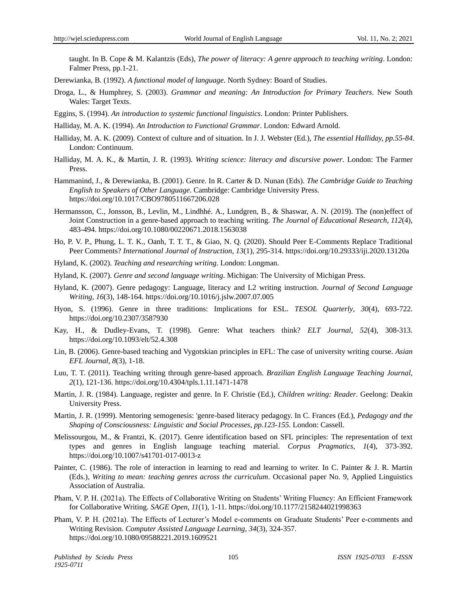taught. In B. Cope & M. Kalantzis (Eds), *The power of literacy: A genre approach to teaching writing*. London: Falmer Press, pp.1-21.

Derewianka, B. (1992). *A functional model of language*. North Sydney: Board of Studies.

- Droga, L., & Humphrey, S. (2003). *Grammar and meaning: An Introduction for Primary Teachers*. New South Wales: Target Texts.
- Eggins, S. (1994). *An introduction to systemic functional linguistics*. London: Printer Publishers.
- Halliday, M. A. K. (1994). *An Introduction to Functional Grammar*. London: Edward Arnold.
- Halliday, M. A. K. (2009). Context of culture and of situation. In J. J. Webster (Ed.), *The essential Halliday, pp.55-84*. London: Continuum.
- Halliday, M. A. K., & Martin, J. R. (1993). *Writing science: literacy and discursive power*. London: The Farmer Press.
- Hammanind, J., & Derewianka, B. (2001). Genre. In R. Carter & D. Nunan (Eds). *The Cambridge Guide to Teaching English to Speakers of Other Language*. Cambridge: Cambridge University Press. https://doi.org/10.1017/CBO9780511667206.028
- Hermansson, C., Jonsson, B., Levlin, M., Lindhhé. A., Lundgren, B., & Shaswar, A. N. (2019). The (non)effect of Joint Construction in a genre-based approach to teaching writing. *The Journal of Educational Research*, *112*(4), 483-494. https://doi.org/10.1080/00220671.2018.1563038
- Ho, P. V. P., Phung, L. T. K., Oanh, T. T. T., & Giao, N. Q. (2020). Should Peer E-Comments Replace Traditional Peer Comments? *International Journal of Instruction, 13*(1), 295-314. https://doi.org/10.29333/iji.2020.13120a
- Hyland, K. (2002). *Teaching and researching writing*. London: Longman.
- Hyland, K. (2007). *Genre and second language writing*. Michigan: The University of Michigan Press.
- Hyland, K. (2007). Genre pedagogy: Language, literacy and L2 writing instruction. *Journal of Second Language Writing, 16*(3), 148-164. https://doi.org/10.1016/j.jslw.2007.07.005
- Hyon, S. (1996). Genre in three traditions: Implications for ESL. *TESOL Quarterly*, *30*(4), 693-722. https://doi.org/10.2307/3587930
- Kay, H., & Dudley-Evans, T. (1998). Genre: What teachers think? *ELT Journal, 52*(4), 308-313. https://doi.org/10.1093/elt/52.4.308
- Lin, B. (2006). Genre-based teaching and Vygotskian principles in EFL: The case of university writing course. *Asian EFL Journal*, *8*(3), 1-18.
- Luu, T. T. (2011). Teaching writing through genre-based approach. *Brazilian English Language Teaching Journal*, *2*(1), 121-136. https://doi.org/10.4304/tpls.1.11.1471-1478
- Martin, J. R. (1984). Language, register and genre. In F. Christie (Ed.), *Children writing: Reader*. Geelong: Deakin University Press.
- Martin, J. R. (1999). Mentoring semogenesis: 'genre-based literacy pedagogy. In C. Frances (Ed.), *Pedagogy and the Shaping of Consciousness: Linguistic and Social Processes, pp.123-155.* London: Cassell.
- Melissourgou, M., & Frantzi, K. (2017). Genre identification based on SFL principles: The representation of text types and genres in English language teaching material. *Corpus Pragmatics*, *1*(4), 373-392. https://doi.org/10.1007/s41701-017-0013-z
- Painter, C. (1986). The role of interaction in learning to read and learning to writer. In C. Painter & J. R. Martin (Eds.), *Writing to mean: teaching genres across the curriculum*. Occasional paper No. 9, Applied Linguistics Association of Australia.
- Pham, V. P. H. (2021a). The Effects of Collaborative Writing on Students' Writing Fluency: An Efficient Framework for Collaborative Writing. *SAGE Open, 11*(1), 1-11. https://doi.org/10.1177/2158244021998363
- Pham, V. P. H. (2021a). The Effects of Lecturer's Model e-comments on Graduate Students' Peer e-comments and Writing Revision. *Computer Assisted Language Learning, 34*(3), 324-357. <https://doi.org/10.1080/09588221.2019.1609521>